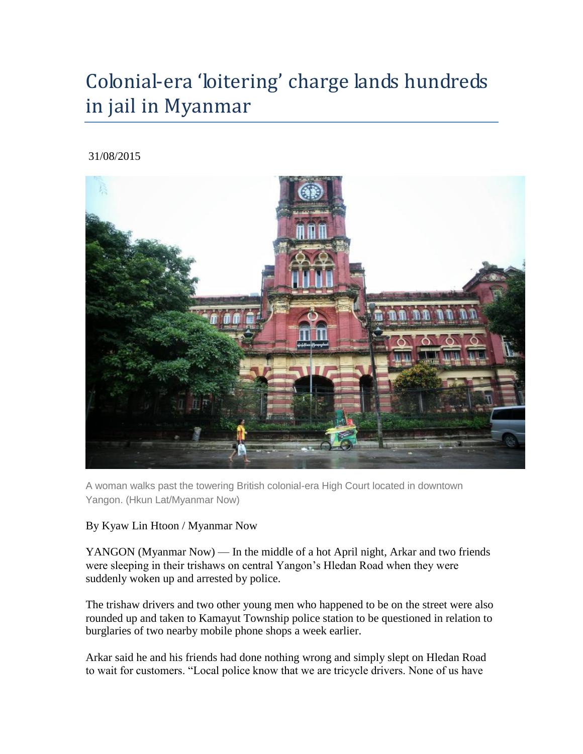# Colonial-era 'loitering' charge lands hundreds in jail in Myanmar

### 31/08/2015



A woman walks past the towering British colonial-era High Court located in downtown Yangon. (Hkun Lat/Myanmar Now)

### By Kyaw Lin Htoon / Myanmar Now

YANGON (Myanmar Now) — In the middle of a hot April night, Arkar and two friends were sleeping in their trishaws on central Yangon's Hledan Road when they were suddenly woken up and arrested by police.

The trishaw drivers and two other young men who happened to be on the street were also rounded up and taken to Kamayut Township police station to be questioned in relation to burglaries of two nearby mobile phone shops a week earlier.

Arkar said he and his friends had done nothing wrong and simply slept on Hledan Road to wait for customers. "Local police know that we are tricycle drivers. None of us have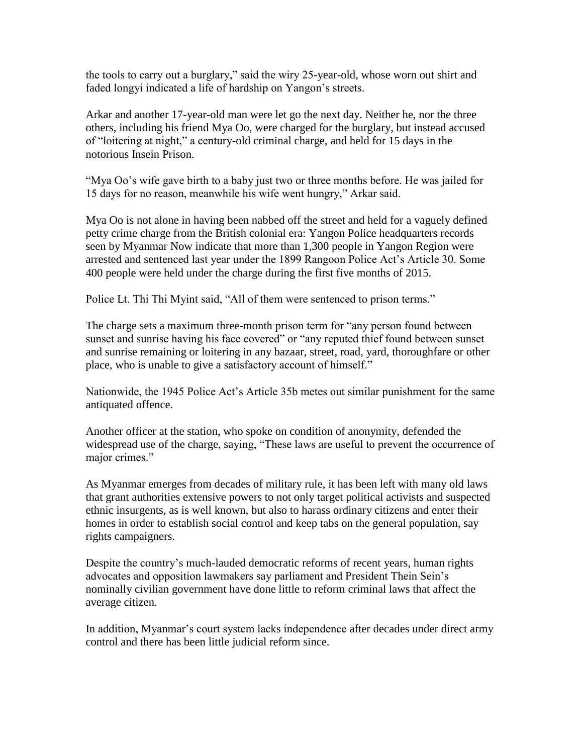the tools to carry out a burglary," said the wiry 25-year-old, whose worn out shirt and faded longyi indicated a life of hardship on Yangon's streets.

Arkar and another 17-year-old man were let go the next day. Neither he, nor the three others, including his friend Mya Oo, were charged for the burglary, but instead accused of "loitering at night," a century-old criminal charge, and held for 15 days in the notorious Insein Prison.

"Mya Oo's wife gave birth to a baby just two or three months before. He was jailed for 15 days for no reason, meanwhile his wife went hungry," Arkar said.

Mya Oo is not alone in having been nabbed off the street and held for a vaguely defined petty crime charge from the British colonial era: Yangon Police headquarters records seen by Myanmar Now indicate that more than 1,300 people in Yangon Region were arrested and sentenced last year under the 1899 Rangoon Police Act's Article 30. Some 400 people were held under the charge during the first five months of 2015.

Police Lt. Thi Thi Myint said, "All of them were sentenced to prison terms."

The charge sets a maximum three-month prison term for "any person found between sunset and sunrise having his face covered" or "any reputed thief found between sunset and sunrise remaining or loitering in any bazaar, street, road, yard, thoroughfare or other place, who is unable to give a satisfactory account of himself."

Nationwide, the 1945 Police Act's Article 35b metes out similar punishment for the same antiquated offence.

Another officer at the station, who spoke on condition of anonymity, defended the widespread use of the charge, saying, "These laws are useful to prevent the occurrence of major crimes."

As Myanmar emerges from decades of military rule, it has been left with many old laws that grant authorities extensive powers to not only target political activists and suspected ethnic insurgents, as is well known, but also to harass ordinary citizens and enter their homes in order to establish social control and keep tabs on the general population, say rights campaigners.

Despite the country's much-lauded democratic reforms of recent years, human rights advocates and opposition lawmakers say parliament and President Thein Sein's nominally civilian government have done little to reform criminal laws that affect the average citizen.

In addition, Myanmar's court system lacks independence after decades under direct army control and there has been little judicial reform since.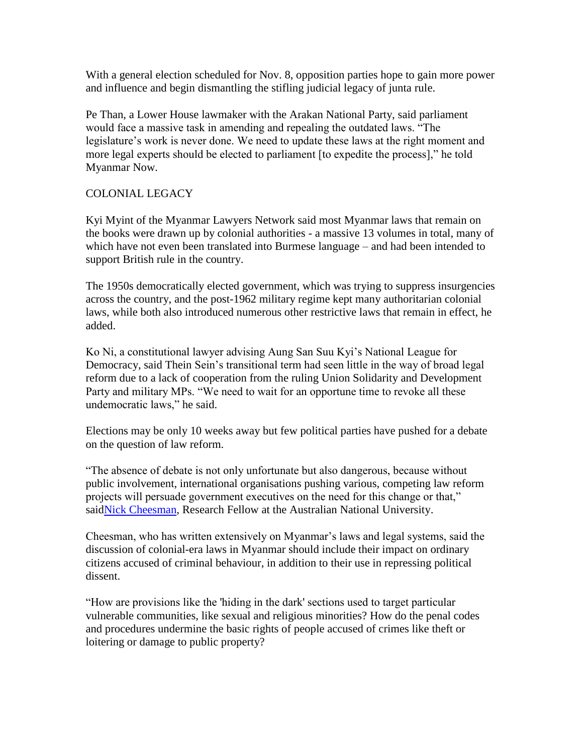With a general election scheduled for Nov. 8, opposition parties hope to gain more power and influence and begin dismantling the stifling judicial legacy of junta rule.

Pe Than, a Lower House lawmaker with the Arakan National Party, said parliament would face a massive task in amending and repealing the outdated laws. "The legislature's work is never done. We need to update these laws at the right moment and more legal experts should be elected to parliament [to expedite the process]," he told Myanmar Now.

### COLONIAL LEGACY

Kyi Myint of the Myanmar Lawyers Network said most Myanmar laws that remain on the books were drawn up by colonial authorities - a massive 13 volumes in total, many of which have not even been translated into Burmese language – and had been intended to support British rule in the country.

The 1950s democratically elected government, which was trying to suppress insurgencies across the country, and the post-1962 military regime kept many authoritarian colonial laws, while both also introduced numerous other restrictive laws that remain in effect, he added.

Ko Ni, a constitutional lawyer advising Aung San Suu Kyi's National League for Democracy, said Thein Sein's transitional term had seen little in the way of broad legal reform due to a lack of cooperation from the ruling Union Solidarity and Development Party and military MPs. "We need to wait for an opportune time to revoke all these undemocratic laws," he said.

Elections may be only 10 weeks away but few political parties have pushed for a debate on the question of law reform.

"The absence of debate is not only unfortunate but also dangerous, because without public involvement, international organisations pushing various, competing law reform projects will persuade government executives on the need for this change or that," said Nick Cheesman, Research Fellow at the Australian National University.

Cheesman, who has written extensively on Myanmar's laws and legal systems, said the discussion of colonial-era laws in Myanmar should include their impact on ordinary citizens accused of criminal behaviour, in addition to their use in repressing political dissent.

"How are provisions like the 'hiding in the dark' sections used to target particular vulnerable communities, like sexual and religious minorities? How do the penal codes and procedures undermine the basic rights of people accused of crimes like theft or loitering or damage to public property?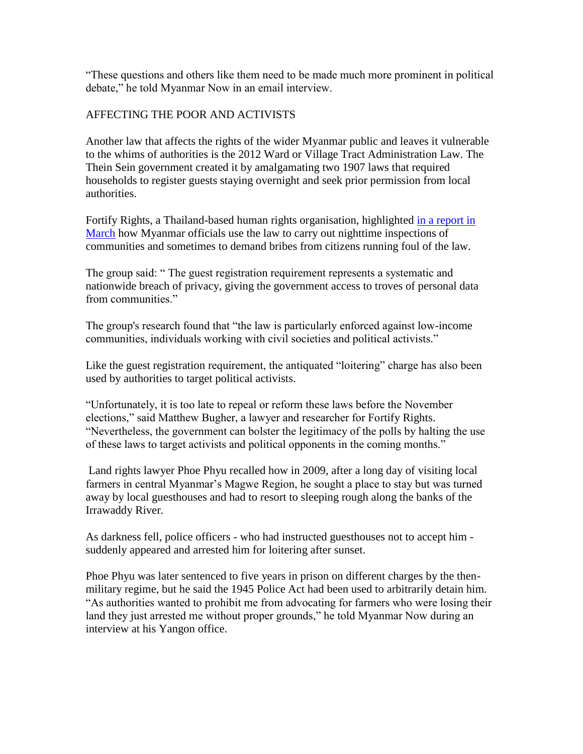"These questions and others like them need to be made much more prominent in political debate," he told Myanmar Now in an email interview.

#### AFFECTING THE POOR AND ACTIVISTS

Another law that affects the rights of the wider Myanmar public and leaves it vulnerable to the whims of authorities is the 2012 Ward or Village Tract Administration Law. The Thein Sein government created it by amalgamating two 1907 laws that required households to register guests staying overnight and seek prior permission from local authorities.

Fortify Rights, a Thailand-based human rights organisation, highlighted [in a report in](http://www.fortifyrights.org/downloads/FR_Midnight_Intrusions_March_2015.pdf)  [March](http://www.fortifyrights.org/downloads/FR_Midnight_Intrusions_March_2015.pdf) how Myanmar officials use the law to carry out nighttime inspections of communities and sometimes to demand bribes from citizens running foul of the law.

The group said: " The guest registration requirement represents a systematic and nationwide breach of privacy, giving the government access to troves of personal data from communities."

The group's research found that "the law is particularly enforced against low-income communities, individuals working with civil societies and political activists."

Like the guest registration requirement, the antiquated "loitering" charge has also been used by authorities to target political activists.

"Unfortunately, it is too late to repeal or reform these laws before the November elections," said Matthew Bugher, a lawyer and researcher for Fortify Rights. "Nevertheless, the government can bolster the legitimacy of the polls by halting the use of these laws to target activists and political opponents in the coming months."

Land rights lawyer Phoe Phyu recalled how in 2009, after a long day of visiting local farmers in central Myanmar's Magwe Region, he sought a place to stay but was turned away by local guesthouses and had to resort to sleeping rough along the banks of the Irrawaddy River.

As darkness fell, police officers - who had instructed guesthouses not to accept him suddenly appeared and arrested him for loitering after sunset.

Phoe Phyu was later sentenced to five years in prison on different charges by the thenmilitary regime, but he said the 1945 Police Act had been used to arbitrarily detain him. "As authorities wanted to prohibit me from advocating for farmers who were losing their land they just arrested me without proper grounds," he told Myanmar Now during an interview at his Yangon office.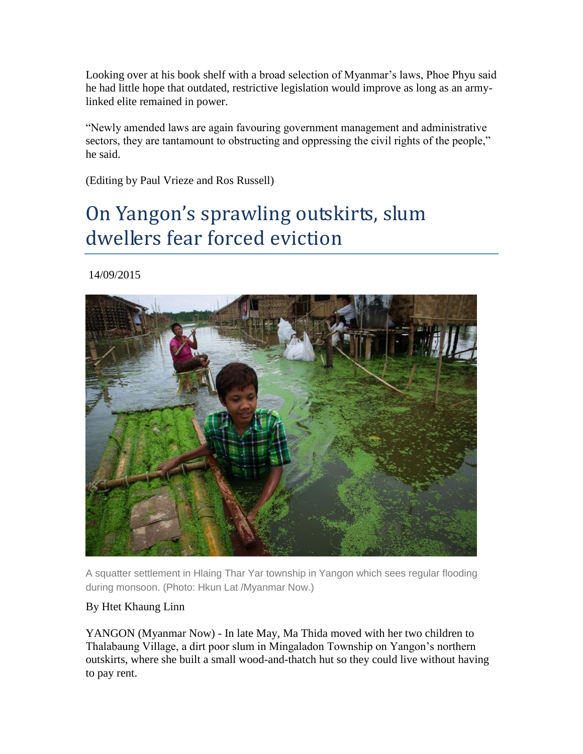Looking over at his book shelf with a broad selection of Myanmar's laws, Phoe Phyu said he had little hope that outdated, restrictive legislation would improve as long as an armylinked elite remained in power.

"Newly amended laws are again favouring government management and administrative sectors, they are tantamount to obstructing and oppressing the civil rights of the people," he said.

(Editing by Paul Vrieze and Ros Russell)

# On Yangon's sprawling outskirts, slum dwellers fear forced eviction

14/09/2015



A squatter settlement in Hlaing Thar Yar township in Yangon which sees regular flooding during monsoon. (Photo: Hkun Lat /Myanmar Now.)

### By Htet Khaung Linn

YANGON (Myanmar Now) - In late May, Ma Thida moved with her two children to Thalabaung Village, a dirt poor slum in Mingaladon Township on Yangon's northern outskirts, where she built a small wood-and-thatch hut so they could live without having to pay rent.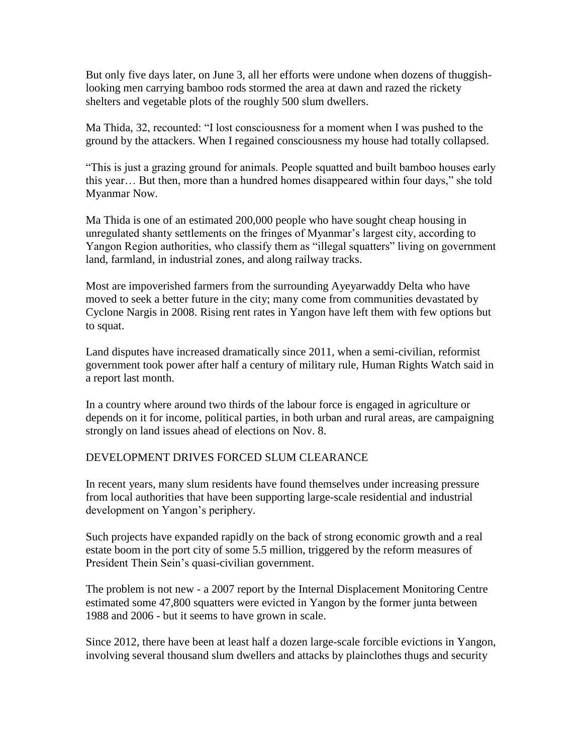But only five days later, on June 3, all her efforts were undone when dozens of thuggishlooking men carrying bamboo rods stormed the area at dawn and razed the rickety shelters and vegetable plots of the roughly 500 slum dwellers.

Ma Thida, 32, recounted: "I lost consciousness for a moment when I was pushed to the ground by the attackers. When I regained consciousness my house had totally collapsed.

"This is just a grazing ground for animals. People squatted and built bamboo houses early this year… But then, more than a hundred homes disappeared within four days," she told Myanmar Now.

Ma Thida is one of an estimated 200,000 people who have sought cheap housing in unregulated shanty settlements on the fringes of Myanmar's largest city, according to Yangon Region authorities, who classify them as "illegal squatters" living on government land, farmland, in industrial zones, and along railway tracks.

Most are impoverished farmers from the surrounding Ayeyarwaddy Delta who have moved to seek a better future in the city; many come from communities devastated by Cyclone Nargis in 2008. Rising rent rates in Yangon have left them with few options but to squat.

Land disputes have increased dramatically since 2011, when a semi-civilian, reformist government took power after half a century of military rule, Human Rights Watch said in a report last month.

In a country where around two thirds of the labour force is engaged in agriculture or depends on it for income, political parties, in both urban and rural areas, are campaigning strongly on land issues ahead of elections on Nov. 8.

### DEVELOPMENT DRIVES FORCED SLUM CLEARANCE

In recent years, many slum residents have found themselves under increasing pressure from local authorities that have been supporting large-scale residential and industrial development on Yangon's periphery.

Such projects have expanded rapidly on the back of strong economic growth and a real estate boom in the port city of some 5.5 million, triggered by the reform measures of President Thein Sein's quasi-civilian government.

The problem is not new - a 2007 report by the Internal Displacement Monitoring Centre estimated some 47,800 squatters were evicted in Yangon by the former junta between 1988 and 2006 - but it seems to have grown in scale.

Since 2012, there have been at least half a dozen large-scale forcible evictions in Yangon, involving several thousand slum dwellers and attacks by plainclothes thugs and security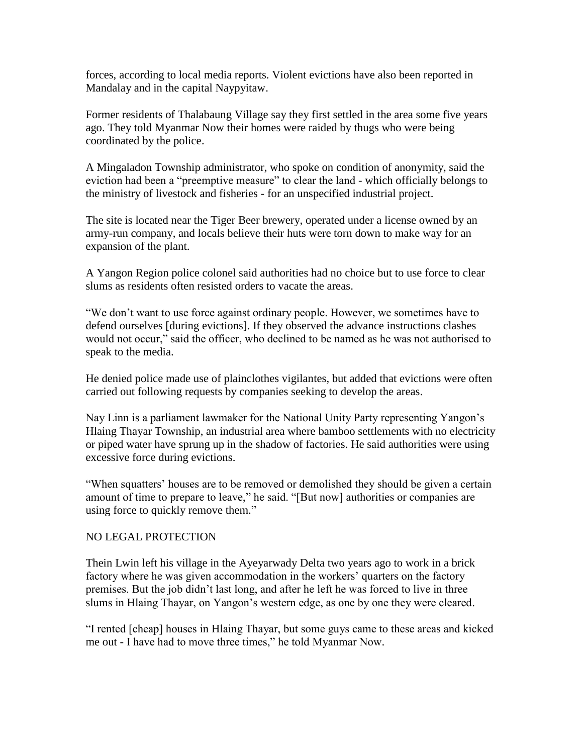forces, according to local media reports. Violent evictions have also been reported in Mandalay and in the capital Naypyitaw.

Former residents of Thalabaung Village say they first settled in the area some five years ago. They told Myanmar Now their homes were raided by thugs who were being coordinated by the police.

A Mingaladon Township administrator, who spoke on condition of anonymity, said the eviction had been a "preemptive measure" to clear the land - which officially belongs to the ministry of livestock and fisheries - for an unspecified industrial project.

The site is located near the Tiger Beer brewery, operated under a license owned by an army-run company, and locals believe their huts were torn down to make way for an expansion of the plant.

A Yangon Region police colonel said authorities had no choice but to use force to clear slums as residents often resisted orders to vacate the areas.

"We don't want to use force against ordinary people. However, we sometimes have to defend ourselves [during evictions]. If they observed the advance instructions clashes would not occur," said the officer, who declined to be named as he was not authorised to speak to the media.

He denied police made use of plainclothes vigilantes, but added that evictions were often carried out following requests by companies seeking to develop the areas.

Nay Linn is a parliament lawmaker for the National Unity Party representing Yangon's Hlaing Thayar Township, an industrial area where bamboo settlements with no electricity or piped water have sprung up in the shadow of factories. He said authorities were using excessive force during evictions.

"When squatters' houses are to be removed or demolished they should be given a certain amount of time to prepare to leave," he said. "[But now] authorities or companies are using force to quickly remove them."

#### NO LEGAL PROTECTION

Thein Lwin left his village in the Ayeyarwady Delta two years ago to work in a brick factory where he was given accommodation in the workers' quarters on the factory premises. But the job didn't last long, and after he left he was forced to live in three slums in Hlaing Thayar, on Yangon's western edge, as one by one they were cleared.

"I rented [cheap] houses in Hlaing Thayar, but some guys came to these areas and kicked me out - I have had to move three times," he told Myanmar Now.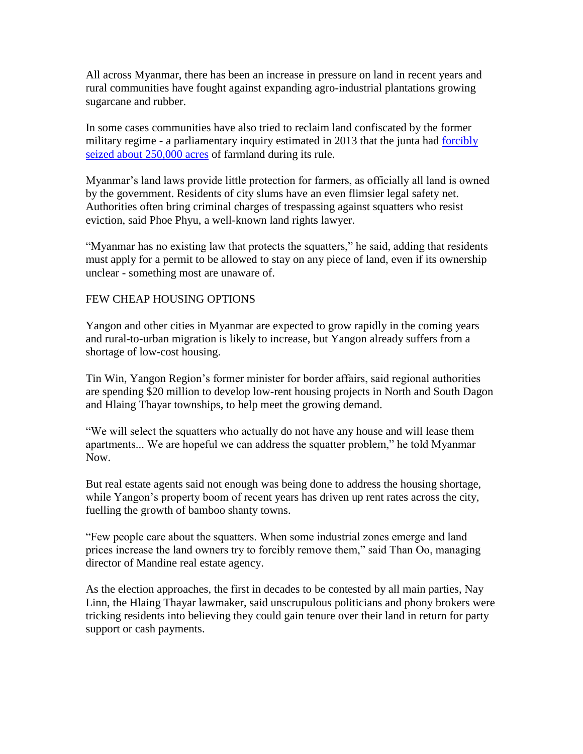All across Myanmar, there has been an increase in pressure on land in recent years and rural communities have fought against expanding agro-industrial plantations growing sugarcane and rubber.

In some cases communities have also tried to reclaim land confiscated by the former military regime - a parliamentary inquiry estimated in 2013 that the junta had [forcibly](http://www.irrawaddy.org/human-rights/military-involved-in-massive-land-grabs-parliamentary-report.html)  [seized about 250,000 acres](http://www.irrawaddy.org/human-rights/military-involved-in-massive-land-grabs-parliamentary-report.html) of farmland during its rule.

Myanmar's land laws provide little protection for farmers, as officially all land is owned by the government. Residents of city slums have an even flimsier legal safety net. Authorities often bring criminal charges of trespassing against squatters who resist eviction, said Phoe Phyu, a well-known land rights lawyer.

"Myanmar has no existing law that protects the squatters," he said, adding that residents must apply for a permit to be allowed to stay on any piece of land, even if its ownership unclear - something most are unaware of.

#### FEW CHEAP HOUSING OPTIONS

Yangon and other cities in Myanmar are expected to grow rapidly in the coming years and rural-to-urban migration is likely to increase, but Yangon already suffers from a shortage of low-cost housing.

Tin Win, Yangon Region's former minister for border affairs, said regional authorities are spending \$20 million to develop low-rent housing projects in North and South Dagon and Hlaing Thayar townships, to help meet the growing demand.

"We will select the squatters who actually do not have any house and will lease them apartments... We are hopeful we can address the squatter problem," he told Myanmar Now.

But real estate agents said not enough was being done to address the housing shortage, while Yangon's property boom of recent years has driven up rent rates across the city, fuelling the growth of bamboo shanty towns.

"Few people care about the squatters. When some industrial zones emerge and land prices increase the land owners try to forcibly remove them," said Than Oo, managing director of Mandine real estate agency.

As the election approaches, the first in decades to be contested by all main parties, Nay Linn, the Hlaing Thayar lawmaker, said unscrupulous politicians and phony brokers were tricking residents into believing they could gain tenure over their land in return for party support or cash payments.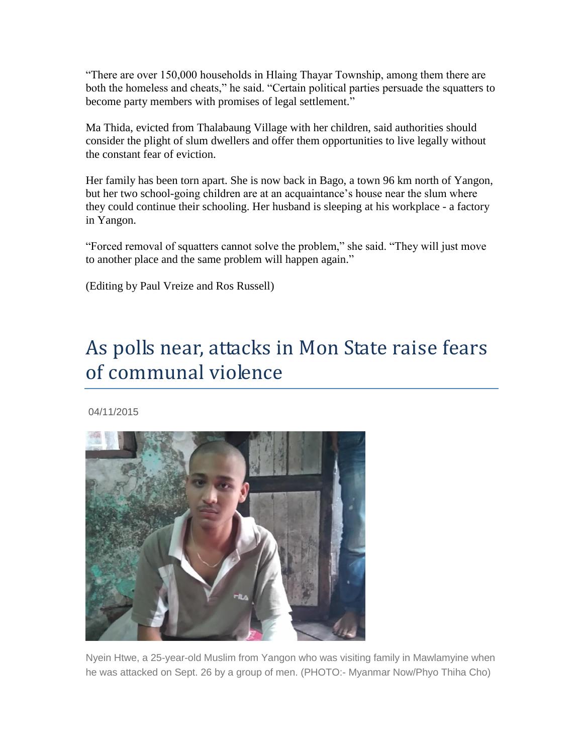"There are over 150,000 households in Hlaing Thayar Township, among them there are both the homeless and cheats," he said. "Certain political parties persuade the squatters to become party members with promises of legal settlement."

Ma Thida, evicted from Thalabaung Village with her children, said authorities should consider the plight of slum dwellers and offer them opportunities to live legally without the constant fear of eviction.

Her family has been torn apart. She is now back in Bago, a town 96 km north of Yangon, but her two school-going children are at an acquaintance's house near the slum where they could continue their schooling. Her husband is sleeping at his workplace - a factory in Yangon.

"Forced removal of squatters cannot solve the problem," she said. "They will just move to another place and the same problem will happen again."

(Editing by Paul Vreize and Ros Russell)

# As polls near, attacks in Mon State raise fears of communal violence

04/11/2015



Nyein Htwe, a 25-year-old Muslim from Yangon who was visiting family in Mawlamyine when he was attacked on Sept. 26 by a group of men. (PHOTO:- Myanmar Now/Phyo Thiha Cho)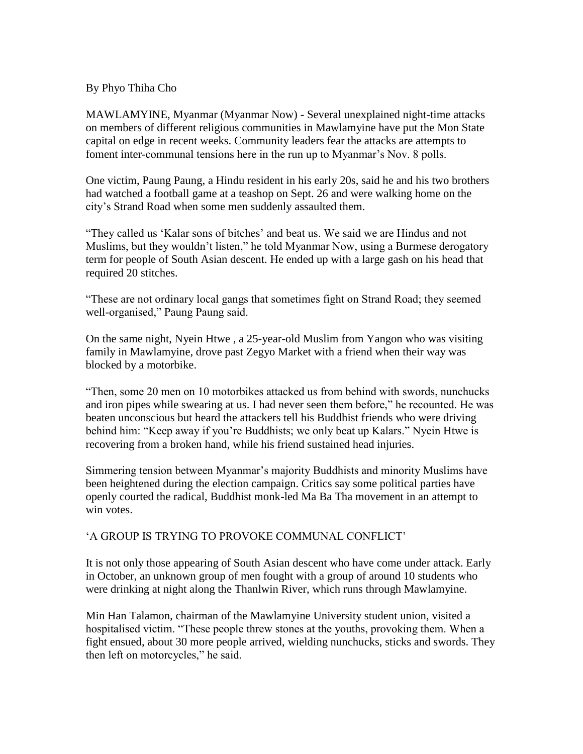#### By Phyo Thiha Cho

MAWLAMYINE, Myanmar (Myanmar Now) - Several unexplained night-time attacks on members of different religious communities in Mawlamyine have put the Mon State capital on edge in recent weeks. Community leaders fear the attacks are attempts to foment inter-communal tensions here in the run up to Myanmar's Nov. 8 polls.

One victim, Paung Paung, a Hindu resident in his early 20s, said he and his two brothers had watched a football game at a teashop on Sept. 26 and were walking home on the city's Strand Road when some men suddenly assaulted them.

"They called us 'Kalar sons of bitches' and beat us. We said we are Hindus and not Muslims, but they wouldn't listen," he told Myanmar Now, using a Burmese derogatory term for people of South Asian descent. He ended up with a large gash on his head that required 20 stitches.

"These are not ordinary local gangs that sometimes fight on Strand Road; they seemed well-organised," Paung Paung said.

On the same night, Nyein Htwe , a 25-year-old Muslim from Yangon who was visiting family in Mawlamyine, drove past Zegyo Market with a friend when their way was blocked by a motorbike.

"Then, some 20 men on 10 motorbikes attacked us from behind with swords, nunchucks and iron pipes while swearing at us. I had never seen them before," he recounted. He was beaten unconscious but heard the attackers tell his Buddhist friends who were driving behind him: "Keep away if you're Buddhists; we only beat up Kalars." Nyein Htwe is recovering from a broken hand, while his friend sustained head injuries.

Simmering tension between Myanmar's majority Buddhists and minority Muslims have been heightened during the election campaign. Critics say some political parties have openly courted the radical, Buddhist monk-led Ma Ba Tha movement in an attempt to win votes.

### 'A GROUP IS TRYING TO PROVOKE COMMUNAL CONFLICT'

It is not only those appearing of South Asian descent who have come under attack. Early in October, an unknown group of men fought with a group of around 10 students who were drinking at night along the Thanlwin River, which runs through Mawlamyine.

Min Han Talamon, chairman of the Mawlamyine University student union, visited a hospitalised victim. "These people threw stones at the youths, provoking them. When a fight ensued, about 30 more people arrived, wielding nunchucks, sticks and swords. They then left on motorcycles," he said.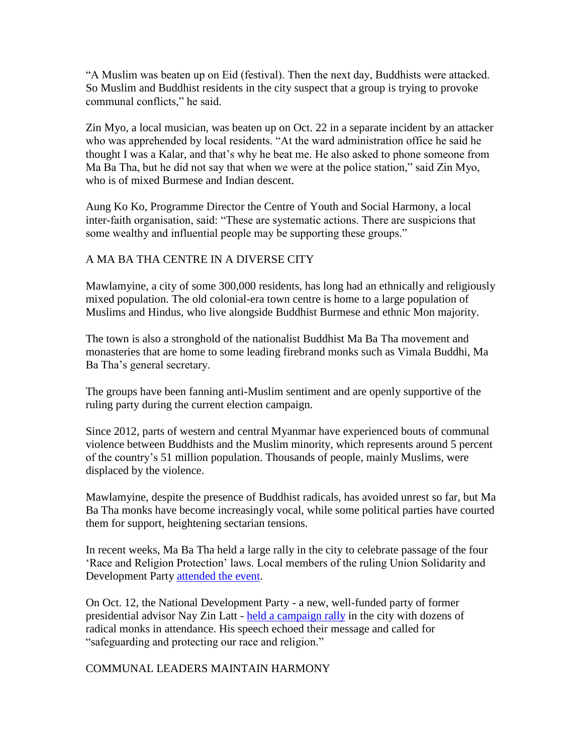"A Muslim was beaten up on Eid (festival). Then the next day, Buddhists were attacked. So Muslim and Buddhist residents in the city suspect that a group is trying to provoke communal conflicts," he said.

Zin Myo, a local musician, was beaten up on Oct. 22 in a separate incident by an attacker who was apprehended by local residents. "At the ward administration office he said he thought I was a Kalar, and that's why he beat me. He also asked to phone someone from Ma Ba Tha, but he did not say that when we were at the police station," said Zin Myo, who is of mixed Burmese and Indian descent.

Aung Ko Ko, Programme Director the Centre of Youth and Social Harmony, a local inter-faith organisation, said: "These are systematic actions. There are suspicions that some wealthy and influential people may be supporting these groups."

### A MA BA THA CENTRE IN A DIVERSE CITY

Mawlamyine, a city of some 300,000 residents, has long had an ethnically and religiously mixed population. The old colonial-era town centre is home to a large population of Muslims and Hindus, who live alongside Buddhist Burmese and ethnic Mon majority.

The town is also a stronghold of the nationalist Buddhist Ma Ba Tha movement and monasteries that are home to some leading firebrand monks such as Vimala Buddhi, Ma Ba Tha's general secretary.

The groups have been fanning anti-Muslim sentiment and are openly supportive of the ruling party during the current election campaign.

Since 2012, parts of western and central Myanmar have experienced bouts of communal violence between Buddhists and the Muslim minority, which represents around 5 percent of the country's 51 million population. Thousands of people, mainly Muslims, were displaced by the violence.

Mawlamyine, despite the presence of Buddhist radicals, has avoided unrest so far, but Ma Ba Tha monks have become increasingly vocal, while some political parties have courted them for support, heightening sectarian tensions.

In recent weeks, Ma Ba Tha held a large rally in the city to celebrate passage of the four 'Race and Religion Protection' laws. Local members of the ruling Union Solidarity and Development Party [attended the event.](http://www.myanmar-now.org/news/i/?id=4a6d8fc5-3984-4920-b164-564fadd28ba5)

On Oct. 12, the National Development Party - a new, well-funded party of former presidential advisor Nay Zin Latt - [held a campaign rally](http://www.myanmar-now.org/news/i/?id=2de3e054-e65b-4c02-ac8c-98a259438815) in the city with dozens of radical monks in attendance. His speech echoed their message and called for "safeguarding and protecting our race and religion."

COMMUNAL LEADERS MAINTAIN HARMONY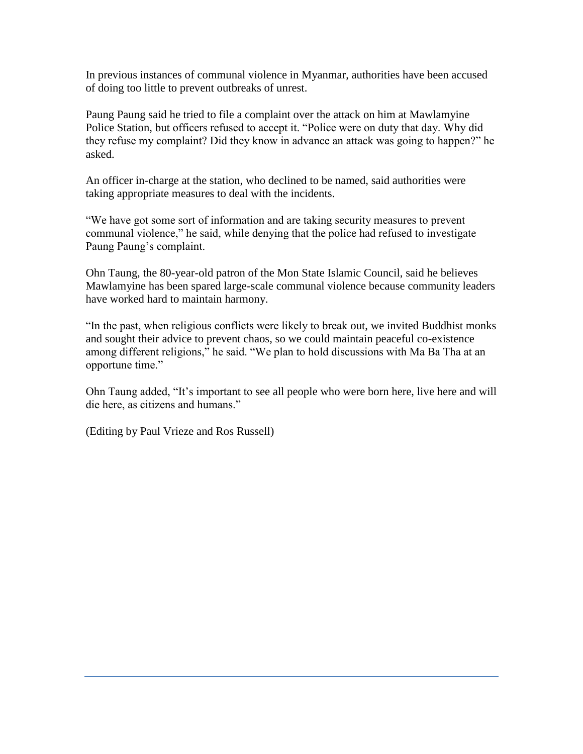In previous instances of communal violence in Myanmar, authorities have been accused of doing too little to prevent outbreaks of unrest.

Paung Paung said he tried to file a complaint over the attack on him at Mawlamyine Police Station, but officers refused to accept it. "Police were on duty that day. Why did they refuse my complaint? Did they know in advance an attack was going to happen?" he asked.

An officer in-charge at the station, who declined to be named, said authorities were taking appropriate measures to deal with the incidents.

"We have got some sort of information and are taking security measures to prevent communal violence," he said, while denying that the police had refused to investigate Paung Paung's complaint.

Ohn Taung, the 80-year-old patron of the Mon State Islamic Council, said he believes Mawlamyine has been spared large-scale communal violence because community leaders have worked hard to maintain harmony.

"In the past, when religious conflicts were likely to break out, we invited Buddhist monks and sought their advice to prevent chaos, so we could maintain peaceful co-existence among different religions," he said. "We plan to hold discussions with Ma Ba Tha at an opportune time."

Ohn Taung added, "It's important to see all people who were born here, live here and will die here, as citizens and humans."

(Editing by Paul Vrieze and Ros Russell)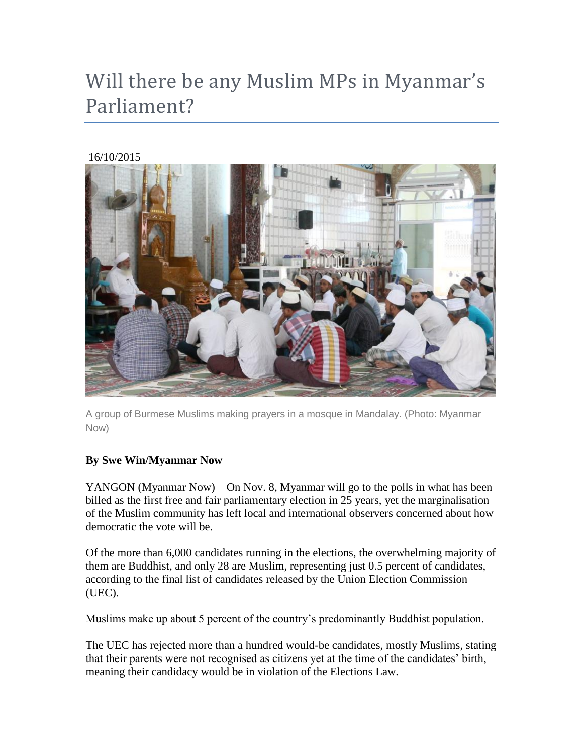# Will there be any Muslim MPs in Myanmar's Parliament?

### 16/10/2015



A group of Burmese Muslims making prayers in a mosque in Mandalay. (Photo: Myanmar Now)

### **By Swe Win/Myanmar Now**

YANGON (Myanmar Now) – On Nov. 8, Myanmar will go to the polls in what has been billed as the first free and fair parliamentary election in 25 years, yet the marginalisation of the Muslim community has left local and international observers concerned about how democratic the vote will be.

Of the more than 6,000 candidates running in the elections, the overwhelming majority of them are Buddhist, and only 28 are Muslim, representing just 0.5 percent of candidates, according to the final list of candidates released by the Union Election Commission (UEC).

Muslims make up about 5 percent of the country's predominantly Buddhist population.

The UEC has rejected more than a hundred would-be candidates, mostly Muslims, stating that their parents were not recognised as citizens yet at the time of the candidates' birth, meaning their candidacy would be in violation of the Elections Law.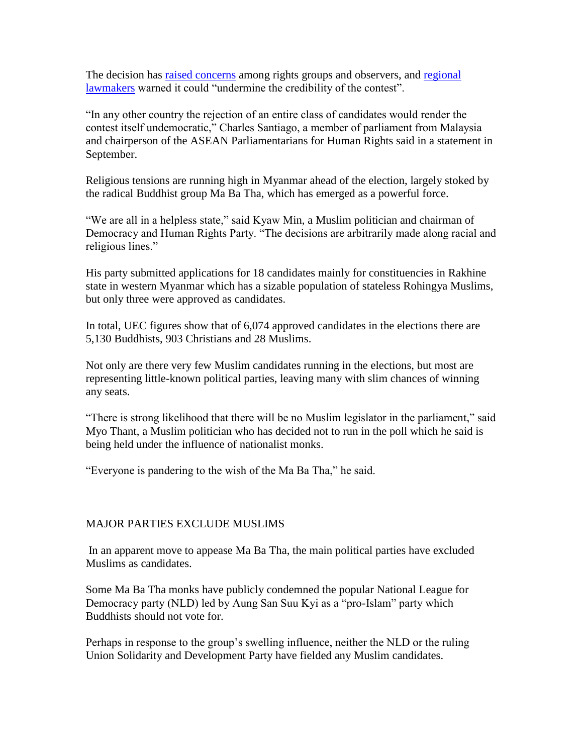The decision has [raised concerns](http://www.cartercenter.org/news/pr/myanmar-092515-pre-election.html) among rights groups and observers, and [regional](http://aseanmp.org/2015/09/14/urge-international-action-to-address-escalating-human-rights-concerns-in-myanmar/)  [lawmakers](http://aseanmp.org/2015/09/14/urge-international-action-to-address-escalating-human-rights-concerns-in-myanmar/) warned it could "undermine the credibility of the contest".

"In any other country the rejection of an entire class of candidates would render the contest itself undemocratic," Charles Santiago, a member of parliament from Malaysia and chairperson of the ASEAN Parliamentarians for Human Rights said in a statement in September.

Religious tensions are running high in Myanmar ahead of the election, largely stoked by the radical Buddhist group Ma Ba Tha, which has emerged as a powerful force.

"We are all in a helpless state," said Kyaw Min, a Muslim politician and chairman of Democracy and Human Rights Party. "The decisions are arbitrarily made along racial and religious lines."

His party submitted applications for 18 candidates mainly for constituencies in Rakhine state in western Myanmar which has a sizable population of stateless Rohingya Muslims, but only three were approved as candidates.

In total, UEC figures show that of 6,074 approved candidates in the elections there are 5,130 Buddhists, 903 Christians and 28 Muslims.

Not only are there very few Muslim candidates running in the elections, but most are representing little-known political parties, leaving many with slim chances of winning any seats.

"There is strong likelihood that there will be no Muslim legislator in the parliament," said Myo Thant, a Muslim politician who has decided not to run in the poll which he said is being held under the influence of nationalist monks.

"Everyone is pandering to the wish of the Ma Ba Tha," he said.

### MAJOR PARTIES EXCLUDE MUSLIMS

In an apparent move to appease Ma Ba Tha, the main political parties have excluded Muslims as candidates.

Some Ma Ba Tha monks have publicly condemned the popular National League for Democracy party (NLD) led by Aung San Suu Kyi as a "pro-Islam" party which Buddhists should not vote for.

Perhaps in response to the group's swelling influence, neither the NLD or the ruling Union Solidarity and Development Party have fielded any Muslim candidates.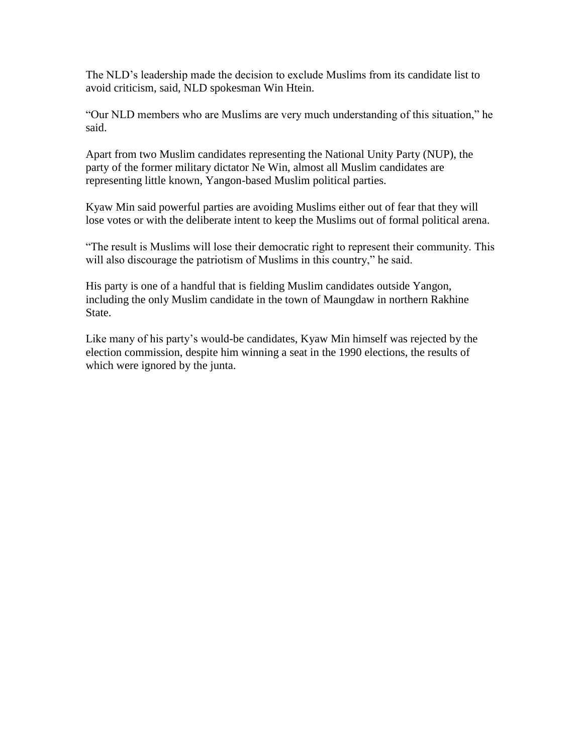The NLD's leadership made the decision to exclude Muslims from its candidate list to avoid criticism, said, NLD spokesman Win Htein.

"Our NLD members who are Muslims are very much understanding of this situation," he said.

Apart from two Muslim candidates representing the National Unity Party (NUP), the party of the former military dictator Ne Win, almost all Muslim candidates are representing little known, Yangon-based Muslim political parties.

Kyaw Min said powerful parties are avoiding Muslims either out of fear that they will lose votes or with the deliberate intent to keep the Muslims out of formal political arena.

"The result is Muslims will lose their democratic right to represent their community. This will also discourage the patriotism of Muslims in this country," he said.

His party is one of a handful that is fielding Muslim candidates outside Yangon, including the only Muslim candidate in the town of Maungdaw in northern Rakhine State.

Like many of his party's would-be candidates, Kyaw Min himself was rejected by the election commission, despite him winning a seat in the 1990 elections, the results of which were ignored by the junta.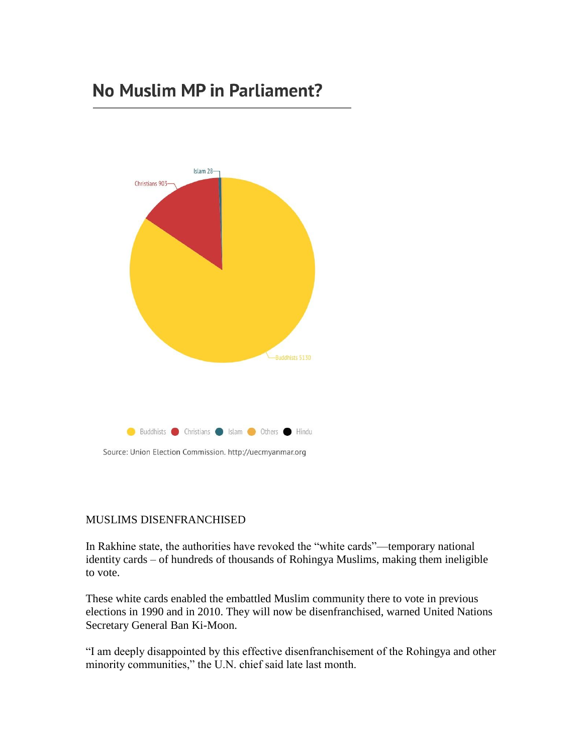## No Muslim MP in Parliament?



Source: Union Election Commission. http://uecmyanmar.org

#### MUSLIMS DISENFRANCHISED

In Rakhine state, the authorities have revoked the "white cards"—temporary national identity cards – of hundreds of thousands of Rohingya Muslims, making them ineligible to vote.

These white cards enabled the embattled Muslim community there to vote in previous elections in 1990 and in 2010. They will now be disenfranchised, warned United Nations Secretary General Ban Ki-Moon.

"I am deeply disappointed by this effective disenfranchisement of the Rohingya and other minority communities," the U.N. chief said late last month.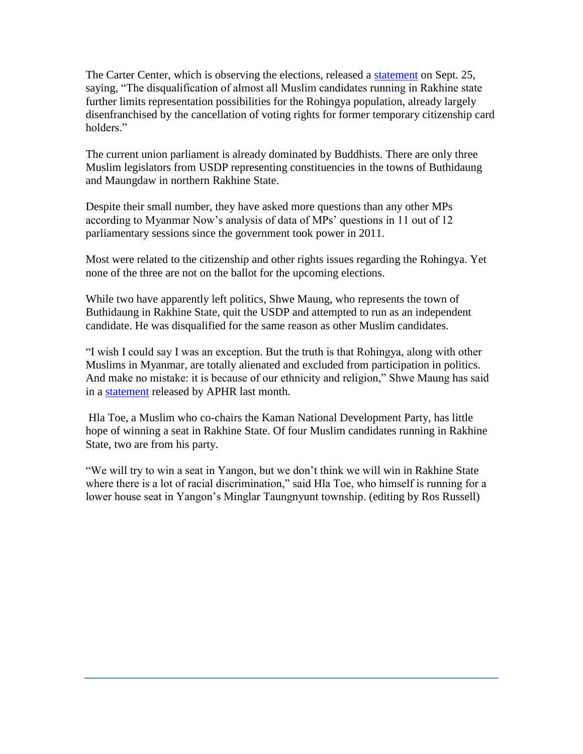The Carter Center, which is observing the elections, released a [statement](http://www.cartercenter.org/news/pr/myanmar-092515-pre-election.html) on Sept. 25, saying, "The disqualification of almost all Muslim candidates running in Rakhine state further limits representation possibilities for the Rohingya population, already largely disenfranchised by the cancellation of voting rights for former temporary citizenship card holders<sup>"</sup>

The current union parliament is already dominated by Buddhists. There are only three Muslim legislators from USDP representing constituencies in the towns of Buthidaung and Maungdaw in northern Rakhine State.

Despite their small number, they have asked more questions than any other MPs according to Myanmar Now's analysis of data of MPs' questions in 11 out of 12 parliamentary sessions since the government took power in 2011.

Most were related to the citizenship and other rights issues regarding the Rohingya. Yet none of the three are not on the ballot for the upcoming elections.

While two have apparently left politics, Shwe Maung, who represents the town of Buthidaung in Rakhine State, quit the USDP and attempted to run as an independent candidate. He was disqualified for the same reason as other Muslim candidates.

"I wish I could say I was an exception. But the truth is that Rohingya, along with other Muslims in Myanmar, are totally alienated and excluded from participation in politics. And make no mistake: it is because of our ethnicity and religion," Shwe Maung has said in a [statement](http://aseanmp.org/2015/09/14/urge-international-action-to-address-escalating-human-rights-concerns-in-myanmar/) released by APHR last month.

Hla Toe, a Muslim who co-chairs the Kaman National Development Party, has little hope of winning a seat in Rakhine State. Of four Muslim candidates running in Rakhine State, two are from his party.

"We will try to win a seat in Yangon, but we don't think we will win in Rakhine State where there is a lot of racial discrimination," said Hla Toe, who himself is running for a lower house seat in Yangon's Minglar Taungnyunt township. (editing by Ros Russell)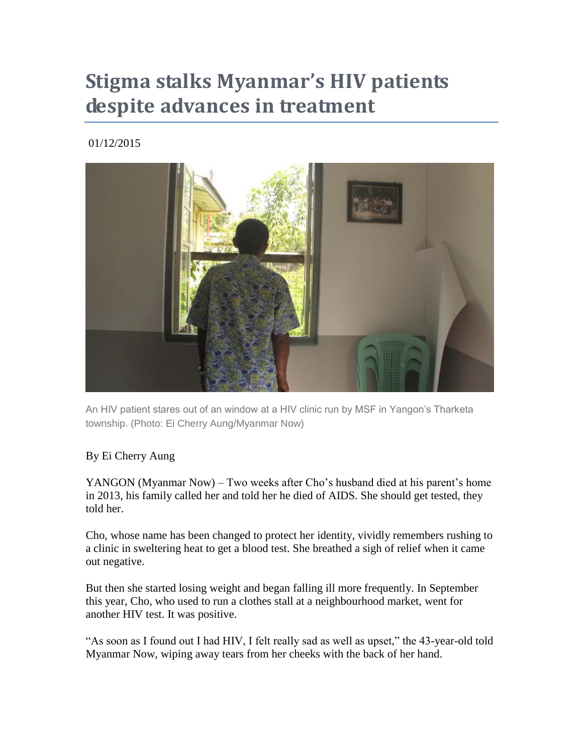# **Stigma stalks Myanmar's HIV patients despite advances in treatment**

01/12/2015



An HIV patient stares out of an window at a HIV clinic run by MSF in Yangon's Tharketa township. (Photo: Ei Cherry Aung/Myanmar Now)

### By Ei Cherry Aung

YANGON (Myanmar Now) – Two weeks after Cho's husband died at his parent's home in 2013, his family called her and told her he died of AIDS. She should get tested, they told her.

Cho, whose name has been changed to protect her identity, vividly remembers rushing to a clinic in sweltering heat to get a blood test. She breathed a sigh of relief when it came out negative.

But then she started losing weight and began falling ill more frequently. In September this year, Cho, who used to run a clothes stall at a neighbourhood market, went for another HIV test. It was positive.

"As soon as I found out I had HIV, I felt really sad as well as upset," the 43-year-old told Myanmar Now, wiping away tears from her cheeks with the back of her hand.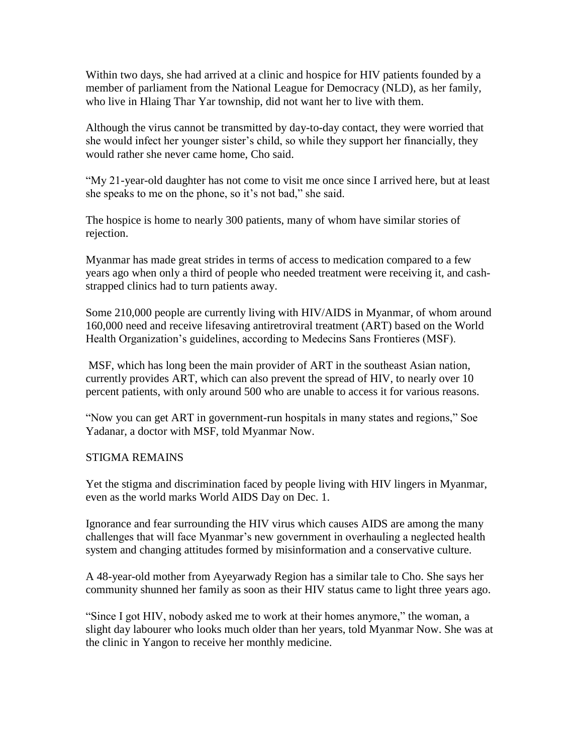Within two days, she had arrived at a clinic and hospice for HIV patients founded by a member of parliament from the National League for Democracy (NLD), as her family, who live in Hlaing Thar Yar township, did not want her to live with them.

Although the virus cannot be transmitted by day-to-day contact, they were worried that she would infect her younger sister's child, so while they support her financially, they would rather she never came home, Cho said.

"My 21-year-old daughter has not come to visit me once since I arrived here, but at least she speaks to me on the phone, so it's not bad," she said.

The hospice is home to nearly 300 patients, many of whom have similar stories of rejection.

Myanmar has made great strides in terms of access to medication compared to a few years ago when only a third of people who needed treatment were receiving it, and cashstrapped clinics had to turn patients away.

Some 210,000 people are currently living with HIV/AIDS in Myanmar, of whom around 160,000 need and receive lifesaving antiretroviral treatment (ART) based on the World Health Organization's guidelines, according to Medecins Sans Frontieres (MSF).

MSF, which has long been the main provider of ART in the southeast Asian nation, currently provides ART, which can also prevent the spread of HIV, to nearly over 10 percent patients, with only around 500 who are unable to access it for various reasons.

"Now you can get ART in government-run hospitals in many states and regions," Soe Yadanar, a doctor with MSF, told Myanmar Now.

### STIGMA REMAINS

Yet the stigma and discrimination faced by people living with HIV lingers in Myanmar, even as the world marks World AIDS Day on Dec. 1.

Ignorance and fear surrounding the HIV virus which causes AIDS are among the many challenges that will face Myanmar's new government in overhauling a neglected health system and changing attitudes formed by misinformation and a conservative culture.

A 48-year-old mother from Ayeyarwady Region has a similar tale to Cho. She says her community shunned her family as soon as their HIV status came to light three years ago.

"Since I got HIV, nobody asked me to work at their homes anymore," the woman, a slight day labourer who looks much older than her years, told Myanmar Now. She was at the clinic in Yangon to receive her monthly medicine.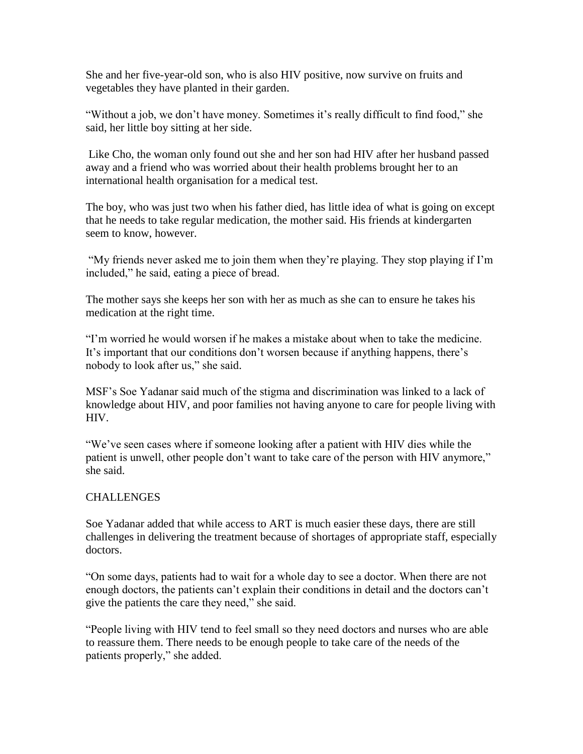She and her five-year-old son, who is also HIV positive, now survive on fruits and vegetables they have planted in their garden.

"Without a job, we don't have money. Sometimes it's really difficult to find food," she said, her little boy sitting at her side.

Like Cho, the woman only found out she and her son had HIV after her husband passed away and a friend who was worried about their health problems brought her to an international health organisation for a medical test.

The boy, who was just two when his father died, has little idea of what is going on except that he needs to take regular medication, the mother said. His friends at kindergarten seem to know, however.

"My friends never asked me to join them when they're playing. They stop playing if I'm included," he said, eating a piece of bread.

The mother says she keeps her son with her as much as she can to ensure he takes his medication at the right time.

"I'm worried he would worsen if he makes a mistake about when to take the medicine. It's important that our conditions don't worsen because if anything happens, there's nobody to look after us," she said.

MSF's Soe Yadanar said much of the stigma and discrimination was linked to a lack of knowledge about HIV, and poor families not having anyone to care for people living with HIV.

"We've seen cases where if someone looking after a patient with HIV dies while the patient is unwell, other people don't want to take care of the person with HIV anymore," she said.

#### **CHALLENGES**

Soe Yadanar added that while access to ART is much easier these days, there are still challenges in delivering the treatment because of shortages of appropriate staff, especially doctors.

"On some days, patients had to wait for a whole day to see a doctor. When there are not enough doctors, the patients can't explain their conditions in detail and the doctors can't give the patients the care they need," she said.

"People living with HIV tend to feel small so they need doctors and nurses who are able to reassure them. There needs to be enough people to take care of the needs of the patients properly," she added.